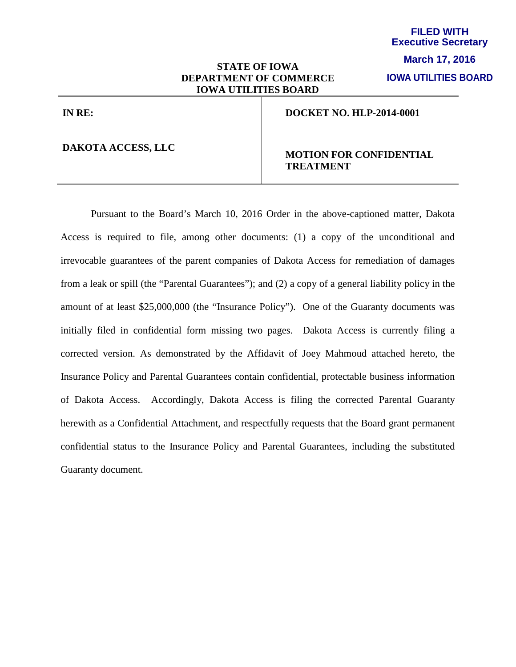## **STATE OF IOWA DEPARTMENT OF COMMERCE IOWA UTILITIES BOARD**

**IOWA UTILITIES BOARD**

**IN RE:**

## **DAKOTA ACCESS, LLC**

## **MOTION FOR CONFIDENTIAL TREATMENT**

**DOCKET NO. HLP-2014-0001**

Pursuant to the Board's March 10, 2016 Order in the above-captioned matter, Dakota Access is required to file, among other documents: (1) a copy of the unconditional and irrevocable guarantees of the parent companies of Dakota Access for remediation of damages from a leak or spill (the "Parental Guarantees"); and (2) a copy of a general liability policy in the amount of at least \$25,000,000 (the "Insurance Policy"). One of the Guaranty documents was initially filed in confidential form missing two pages. Dakota Access is currently filing a corrected version. As demonstrated by the Affidavit of Joey Mahmoud attached hereto, the Insurance Policy and Parental Guarantees contain confidential, protectable business information of Dakota Access. Accordingly, Dakota Access is filing the corrected Parental Guaranty herewith as a Confidential Attachment, and respectfully requests that the Board grant permanent confidential status to the Insurance Policy and Parental Guarantees, including the substituted Guaranty document.